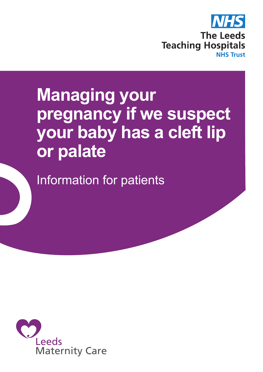

# **Managing your pregnancy if we suspect your baby has a cleft lip or palate**

Information for patients

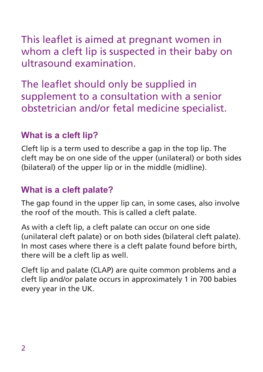This leaflet is aimed at pregnant women in whom a cleft lip is suspected in their baby on ultrasound examination.

The leaflet should only be supplied in supplement to a consultation with a senior obstetrician and/or fetal medicine specialist.

## **What is a cleft lip?**

Cleft lip is a term used to describe a gap in the top lip. The cleft may be on one side of the upper (unilateral) or both sides (bilateral) of the upper lip or in the middle (midline).

## **What is a cleft palate?**

The gap found in the upper lip can, in some cases, also involve the roof of the mouth. This is called a cleft palate.

As with a cleft lip, a cleft palate can occur on one side (unilateral cleft palate) or on both sides (bilateral cleft palate). In most cases where there is a cleft palate found before birth, there will be a cleft lip as well.

Cleft lip and palate (CLAP) are quite common problems and a cleft lip and/or palate occurs in approximately 1 in 700 babies every year in the UK.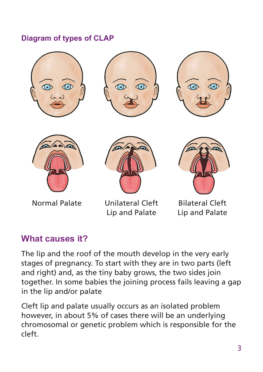#### **Diagram of types of CLAP**











Normal Palate Unilateral Cleft Lip and Palate



Bilateral Cleft Lip and Palate

## **What causes it?**

The lip and the roof of the mouth develop in the very early stages of pregnancy. To start with they are in two parts (left and right) and, as the tiny baby grows, the two sides join together. In some babies the joining process fails leaving a gap in the lip and/or palate

Cleft lip and palate usually occurs as an isolated problem however, in about 5% of cases there will be an underlying chromosomal or genetic problem which is responsible for the cleft.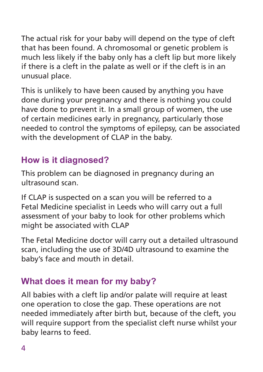The actual risk for your baby will depend on the type of cleft that has been found. A chromosomal or genetic problem is much less likely if the baby only has a cleft lip but more likely if there is a cleft in the palate as well or if the cleft is in an unusual place.

This is unlikely to have been caused by anything you have done during your pregnancy and there is nothing you could have done to prevent it. In a small group of women, the use of certain medicines early in pregnancy, particularly those needed to control the symptoms of epilepsy, can be associated with the development of CLAP in the baby.

# **How is it diagnosed?**

This problem can be diagnosed in pregnancy during an ultrasound scan.

If CLAP is suspected on a scan you will be referred to a Fetal Medicine specialist in Leeds who will carry out a full assessment of your baby to look for other problems which might be associated with CLAP

The Fetal Medicine doctor will carry out a detailed ultrasound scan, including the use of 3D/4D ultrasound to examine the baby's face and mouth in detail.

## **What does it mean for my baby?**

All babies with a cleft lip and/or palate will require at least one operation to close the gap. These operations are not needed immediately after birth but, because of the cleft, you will require support from the specialist cleft nurse whilst your baby learns to feed.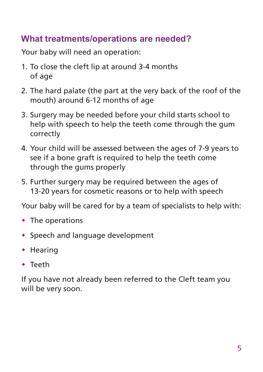## **What treatments/operations are needed?**

Your baby will need an operation:

- 1. To close the cleft lip at around 3-4 months of age
- 2. The hard palate (the part at the very back of the roof of the mouth) around 6-12 months of age
- 3. Surgery may be needed before your child starts school to help with speech to help the teeth come through the gum correctly
- 4. Your child will be assessed between the ages of 7-9 years to see if a bone graft is required to help the teeth come through the gums properly
- 5. Further surgery may be required between the ages of 13-20 years for cosmetic reasons or to help with speech

Your baby will be cared for by a team of specialists to help with:

- $\cdot$  The operations
- \* Speech and language development
- $\cdot$  Hearing
- $\cdot$  Teeth

If you have not already been referred to the Cleft team you will be very soon.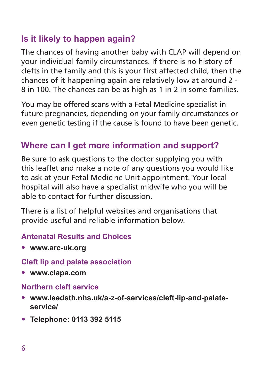# **Is it likely to happen again?**

The chances of having another baby with CLAP will depend on your individual family circumstances. If there is no history of clefts in the family and this is your first affected child, then the chances of it happening again are relatively low at around 2 - 8 in 100. The chances can be as high as 1 in 2 in some families.

You may be offered scans with a Fetal Medicine specialist in future pregnancies, depending on your family circumstances or even genetic testing if the cause is found to have been genetic.

# **Where can I get more information and support?**

Be sure to ask questions to the doctor supplying you with this leaflet and make a note of any questions you would like to ask at your Fetal Medicine Unit appointment. Your local hospital will also have a specialist midwife who you will be able to contact for further discussion.

There is a list of helpful websites and organisations that provide useful and reliable information below.

#### **Antenatal Results and Choices**

• **www.arc-uk.org**

#### **Cleft lip and palate association**

• **www.clapa.com**

#### **Northern cleft service**

- **www.leedsth.nhs.uk/a-z-of-services/cleft-lip-and-palateservice/**
- **Telephone: 0113 392 5115**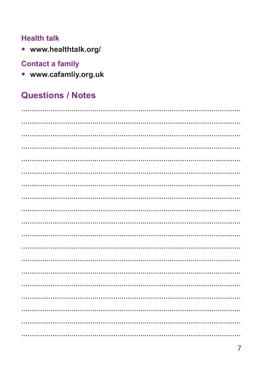#### **Health talk**

• www.healthtalk.org/

### **Contact a family**

• www.cafamliy.org.uk

# **Questions / Notes**